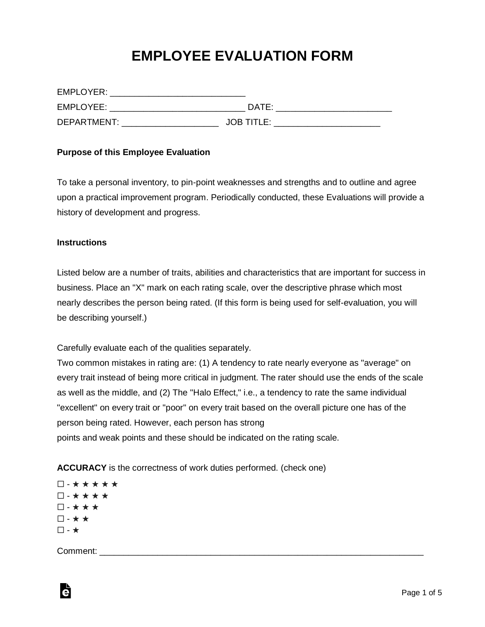## **EMPLOYEE EVALUATION FORM**

| EMPLOYER:   |                   |
|-------------|-------------------|
| EMPLOYEE:   | DATE:             |
| DEPARTMENT: | <b>JOB TITLE:</b> |

## **Purpose of this Employee Evaluation**

To take a personal inventory, to pin-point weaknesses and strengths and to outline and agree upon a practical improvement program. Periodically conducted, these Evaluations will provide a history of development and progress.

## **Instructions**

Listed below are a number of traits, abilities and characteristics that are important for success in business. Place an "X" mark on each rating scale, over the descriptive phrase which most nearly describes the person being rated. (If this form is being used for self-evaluation, you will be describing yourself.)

Carefully evaluate each of the qualities separately.

Two common mistakes in rating are: (1) A tendency to rate nearly everyone as "average" on every trait instead of being more critical in judgment. The rater should use the ends of the scale as well as the middle, and (2) The "Halo Effect," i.e., a tendency to rate the same individual "excellent" on every trait or "poor" on every trait based on the overall picture one has of the person being rated. However, each person has strong points and weak points and these should be indicated on the rating scale.

**ACCURACY** is the correctness of work duties performed. (check one)

☐ - ★ ★ ★ ★ ★ ☐ - ★ ★ ★ ★ ☐ - ★ ★ ★ ☐ - ★ ★  $\square$  -  $\star$ 

Comment: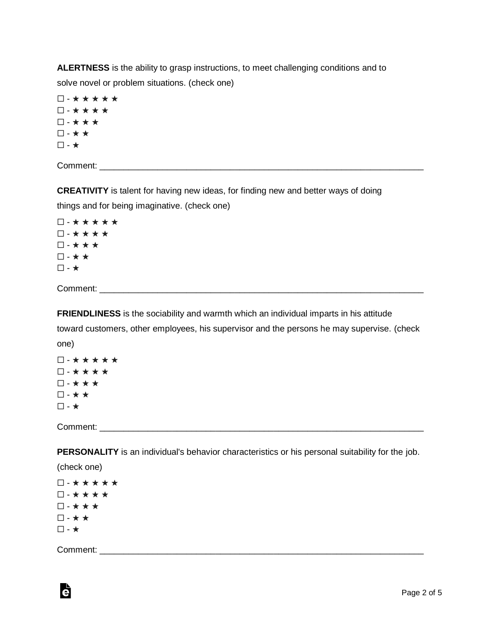**ALERTNESS** is the ability to grasp instructions, to meet challenging conditions and to solve novel or problem situations. (check one)

☐ - ★ ★ ★ ★ ★ ☐ - ★ ★ ★ ★ ☐ - ★ ★ ★ ☐ - ★ ★ ☐ - ★

Comment:  $\blacksquare$ 

**CREATIVITY** is talent for having new ideas, for finding new and better ways of doing

things and for being imaginative. (check one)

☐ - ★ ★ ★ ★ ★ ☐ - ★ ★ ★ ★ ☐ - ★ ★ ★ ☐ - ★ ★ ☐ - ★

Comment:

**FRIENDLINESS** is the sociability and warmth which an individual imparts in his attitude

toward customers, other employees, his supervisor and the persons he may supervise. (check one)

☐ - ★ ★ ★ ★ ★ ☐ - ★ ★ ★ ★ ☐ - ★ ★ ★ ☐ - ★ ★ ☐ - ★

Comment: \_\_\_\_\_\_\_\_\_\_\_\_\_\_\_\_\_\_\_\_\_\_\_\_\_\_\_\_\_\_\_\_\_\_\_\_\_\_\_\_\_\_\_\_\_\_\_\_\_\_\_\_\_\_\_\_\_\_\_\_\_\_\_\_\_\_\_

**PERSONALITY** is an individual's behavior characteristics or his personal suitability for the job.

(check one)

☐ - ★ ★ ★ ★ ★ ☐ - ★ ★ ★ ★ ☐ - ★ ★ ★ ☐ - ★ ★ ☐ - ★

Comment:  $\blacksquare$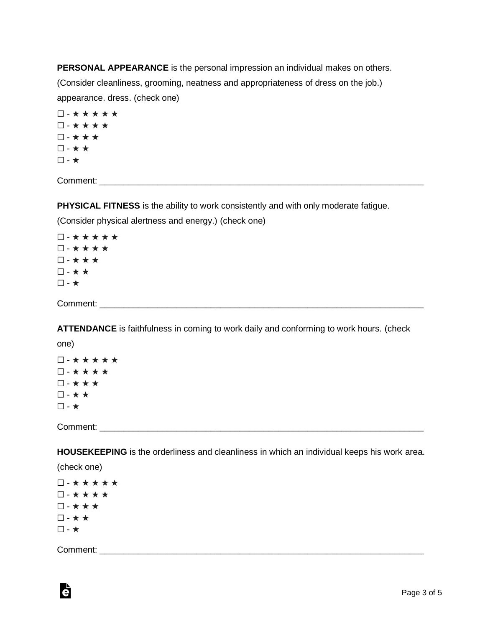**PERSONAL APPEARANCE** is the personal impression an individual makes on others. (Consider cleanliness, grooming, neatness and appropriateness of dress on the job.) appearance. dress. (check one)

☐ - ★ ★ ★ ★ ★ ☐ - ★ ★ ★ ★ ☐ - ★ ★ ★ ☐ - ★ ★  $\square$  -  $\star$ 

Comment:  $\blacksquare$ 

**PHYSICAL FITNESS** is the ability to work consistently and with only moderate fatigue.

(Consider physical alertness and energy.) (check one)

☐ - ★ ★ ★ ★ ★ ☐ - ★ ★ ★ ★ ☐ - ★ ★ ★ ☐ - ★ ★ ☐ - ★

Comment: \_\_\_\_\_\_\_\_\_\_\_\_\_\_\_\_\_\_\_\_\_\_\_\_\_\_\_\_\_\_\_\_\_\_\_\_\_\_\_\_\_\_\_\_\_\_\_\_\_\_\_\_\_\_\_\_\_\_\_\_\_\_\_\_\_\_\_

**ATTENDANCE** is faithfulness in coming to work daily and conforming to work hours. (check

one)

☐ - ★ ★ ★ ★ ★ ☐ - ★ ★ ★ ★ ☐ - ★ ★ ★ ☐ - ★ ★ ☐ - ★

Comment: \_\_\_\_\_\_\_\_\_\_\_\_\_\_\_\_\_\_\_\_\_\_\_\_\_\_\_\_\_\_\_\_\_\_\_\_\_\_\_\_\_\_\_\_\_\_\_\_\_\_\_\_\_\_\_\_\_\_\_\_\_\_\_\_\_\_\_

**HOUSEKEEPING** is the orderliness and cleanliness in which an individual keeps his work area.

(check one)

☐ - ★ ★ ★ ★ ★ ☐ - ★ ★ ★ ★ ☐ - ★ ★ ★ ☐ - ★ ★ ☐ - ★

Comment:  $\blacksquare$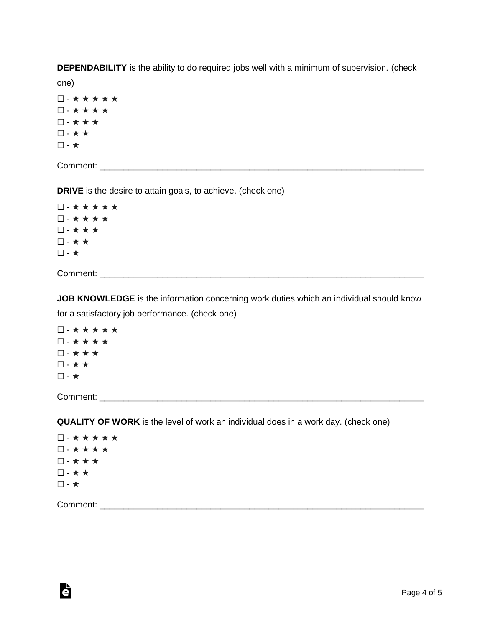**DEPENDABILITY** is the ability to do required jobs well with a minimum of supervision. (check

one)

☐ - ★ ★ ★ ★ ★ ☐ - ★ ★ ★ ★ ☐ - ★ ★ ★ ☐ - ★ ★ ☐ - ★

Comment:  $\blacksquare$ 

**DRIVE** is the desire to attain goals, to achieve. (check one)

☐ - ★ ★ ★ ★ ★ ☐ - ★ ★ ★ ★ ☐ - ★ ★ ★ ☐ - ★ ★  $\square$  -  $\star$ 

Comment: with the comments of the comments of the comments of the comments of the comments of the comments of the comments of the comments of the comments of the comments of the comments of the comments of the comments of

**JOB KNOWLEDGE** is the information concerning work duties which an individual should know for a satisfactory job performance. (check one)

☐ - ★ ★ ★ ★ ★ ☐ - ★ ★ ★ ★ ☐ - ★ ★ ★ ☐ - ★ ★  $\Box$  -  $\star$ 

Comment:

**QUALITY OF WORK** is the level of work an individual does in a work day. (check one)

☐ - ★ ★ ★ ★ ★ ☐ - ★ ★ ★ ★ ☐ - ★ ★ ★ ☐ - ★ ★ ☐ - ★

Comment: \_\_\_\_\_\_\_\_\_\_\_\_\_\_\_\_\_\_\_\_\_\_\_\_\_\_\_\_\_\_\_\_\_\_\_\_\_\_\_\_\_\_\_\_\_\_\_\_\_\_\_\_\_\_\_\_\_\_\_\_\_\_\_\_\_\_\_